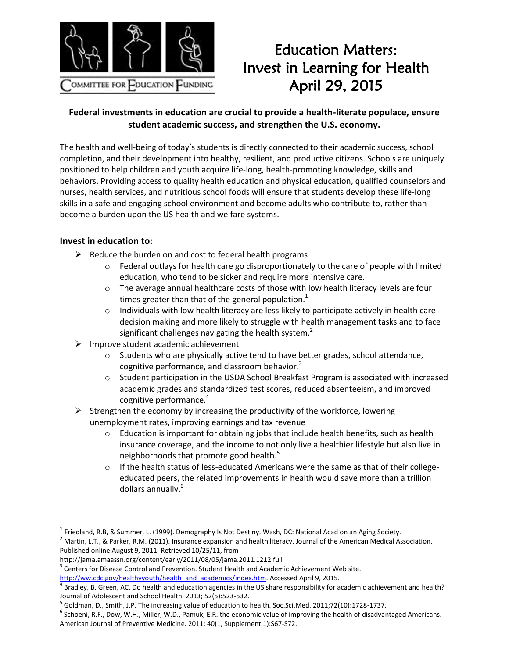

## Education Matters: Invest in Learning for Health April 29, 2015

## **Federal investments in education are crucial to provide a health-literate populace, ensure student academic success, and strengthen the U.S. economy.**

The health and well-being of today's students is directly connected to their academic success, school completion, and their development into healthy, resilient, and productive citizens. Schools are uniquely positioned to help children and youth acquire life-long, health-promoting knowledge, skills and behaviors. Providing access to quality health education and physical education, qualified counselors and nurses, health services, and nutritious school foods will ensure that students develop these life-long skills in a safe and engaging school environment and become adults who contribute to, rather than become a burden upon the US health and welfare systems.

## **Invest in education to:**

 $\overline{\phantom{a}}$ 

- $\triangleright$  Reduce the burden on and cost to federal health programs
	- $\circ$  Federal outlays for health care go disproportionately to the care of people with limited education, who tend to be sicker and require more intensive care.
	- $\circ$  The average annual healthcare costs of those with low health literacy levels are four times greater than that of the general population.<sup>1</sup>
	- $\circ$  Individuals with low health literacy are less likely to participate actively in health care decision making and more likely to struggle with health management tasks and to face significant challenges navigating the health system.<sup>2</sup>
- $\triangleright$  Improve student academic achievement
	- $\circ$  Students who are physically active tend to have better grades, school attendance, cognitive performance, and classroom behavior.<sup>3</sup>
	- o Student participation in the USDA School Breakfast Program is associated with increased academic grades and standardized test scores, reduced absenteeism, and improved cognitive performance.<sup>4</sup>
- $\triangleright$  Strengthen the economy by increasing the productivity of the workforce, lowering unemployment rates, improving earnings and tax revenue
	- $\circ$  Education is important for obtaining jobs that include health benefits, such as health insurance coverage, and the income to not only live a healthier lifestyle but also live in neighborhoods that promote good health. 5
	- If the health status of less-educated Americans were the same as that of their collegeeducated peers, the related improvements in health would save more than a trillion dollars annually.<sup>6</sup>

<sup>&</sup>lt;sup>1</sup> Friedland, R.B, & Summer, L. (1999). Demography Is Not Destiny. Wash, DC: National Acad on an Aging Society.

 $2$  Martin, L.T., & Parker, R.M. (2011). Insurance expansion and health literacy. Journal of the American Medical Association. Published online August 9, 2011. Retrieved 10/25/11, from

http://jama.amaassn.org/content/early/2011/08/05/jama.2011.1212.full

 $3$  Centers for Disease Control and Prevention. Student Health and Academic Achievement Web site.

[http://ww.cdc.gov/healthyyouth/health\\_and\\_academics/index.htm.](http://ww.cdc.gov/healthyyouth/health_and_academics/index.htm) Accessed April 9, 2015.

<sup>&</sup>lt;sup>4</sup> Bradley, B, Green, AC. Do health and education agencies in the US share responsibility for academic achievement and health? Journal of Adolescent and School Health. 2013; 52(5):523-532.

<sup>&</sup>lt;sup>5</sup> Goldman, D., Smith, J.P. The increasing value of education to health. Soc.Sci.Med. 2011;72(10):1728-1737.

 $^6$  Schoeni, R.F., Dow, W.H., Miller, W.D., Pamuk, E.R. the economic value of improving the health of disadvantaged Americans. American Journal of Preventive Medicine. 2011; 40(1, Supplement 1):S67-S72.